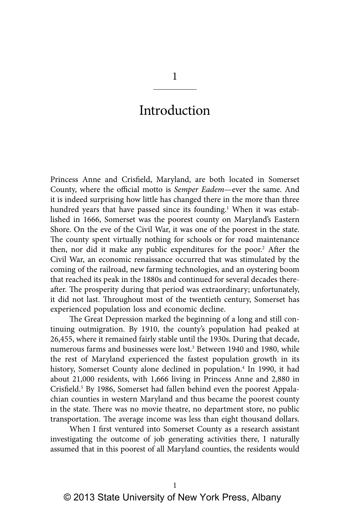1

## Introduction

Princess Anne and Crisfield, Maryland, are both located in Somerset County, where the official motto is *Semper Eadem*—ever the same. And it is indeed surprising how little has changed there in the more than three hundred years that have passed since its founding.<sup>1</sup> When it was established in 1666, Somerset was the poorest county on Maryland's Eastern Shore. On the eve of the Civil War, it was one of the poorest in the state. The county spent virtually nothing for schools or for road maintenance then, nor did it make any public expenditures for the poor.<sup>2</sup> After the Civil War, an economic renaissance occurred that was stimulated by the coming of the railroad, new farming technologies, and an oystering boom that reached its peak in the 1880s and continued for several decades thereafter. The prosperity during that period was extraordinary; unfortunately, it did not last. Throughout most of the twentieth century, Somerset has experienced population loss and economic decline.

The Great Depression marked the beginning of a long and still continuing outmigration. By 1910, the county's population had peaked at 26,455, where it remained fairly stable until the 1930s. During that decade, numerous farms and businesses were lost.<sup>3</sup> Between 1940 and 1980, while the rest of Maryland experienced the fastest population growth in its history, Somerset County alone declined in population.<sup>4</sup> In 1990, it had about 21,000 residents, with 1,666 living in Princess Anne and 2,880 in Crisfield.<sup>5</sup> By 1986, Somerset had fallen behind even the poorest Appalachian counties in western Maryland and thus became the poorest county in the state. There was no movie theatre, no department store, no public transportation. The average income was less than eight thousand dollars.

When I first ventured into Somerset County as a research assistant investigating the outcome of job generating activities there, I naturally assumed that in this poorest of all Maryland counties, the residents would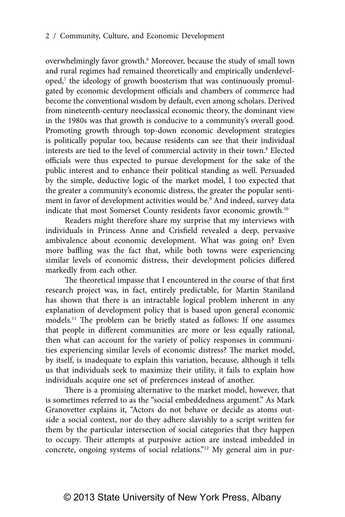## 2 / Community, Culture, and Economic Development

overwhelmingly favor growth.6 Moreover, because the study of small town and rural regimes had remained theoretically and empirically underdeveloped,7 the ideology of growth boosterism that was continuously promulgated by economic development officials and chambers of commerce had become the conventional wisdom by default, even among scholars. Derived from nineteenth-century neoclassical economic theory, the dominant view in the 1980s was that growth is conducive to a community's overall good. Promoting growth through top-down economic development strategies is politically popular too, because residents can see that their individual interests are tied to the level of commercial activity in their town.<sup>8</sup> Elected officials were thus expected to pursue development for the sake of the public interest and to enhance their political standing as well. Persuaded by the simple, deductive logic of the market model, I too expected that the greater a community's economic distress, the greater the popular sentiment in favor of development activities would be.9 And indeed, survey data indicate that most Somerset County residents favor economic growth.<sup>10</sup>

Readers might therefore share my surprise that my interviews with individuals in Princess Anne and Crisfield revealed a deep, pervasive ambivalence about economic development. What was going on? Even more baffling was the fact that, while both towns were experiencing similar levels of economic distress, their development policies differed markedly from each other.

The theoretical impasse that I encountered in the course of that first research project was, in fact, entirely predictable, for Martin Staniland has shown that there is an intractable logical problem inherent in any explanation of development policy that is based upon general economic models.11 The problem can be briefly stated as follows: If one assumes that people in different communities are more or less equally rational, then what can account for the variety of policy responses in communities experiencing similar levels of economic distress? The market model, by itself, is inadequate to explain this variation, because, although it tells us that individuals seek to maximize their utility, it fails to explain how individuals acquire one set of preferences instead of another.

There is a promising alternative to the market model, however, that is sometimes referred to as the "social embeddedness argument." As Mark Granovetter explains it, "Actors do not behave or decide as atoms outside a social context, nor do they adhere slavishly to a script written for them by the particular intersection of social categories that they happen to occupy. Their attempts at purposive action are instead imbedded in concrete, ongoing systems of social relations."12 My general aim in pur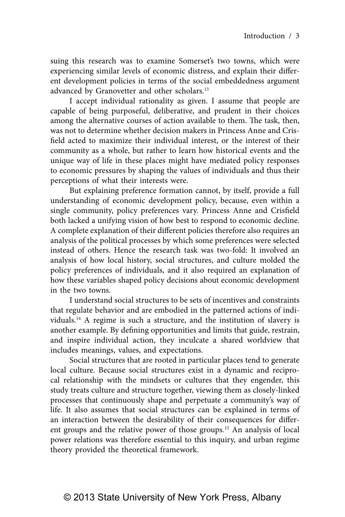suing this research was to examine Somerset's two towns, which were experiencing similar levels of economic distress, and explain their different development policies in terms of the social embeddedness argument advanced by Granovetter and other scholars.<sup>13</sup>

I accept individual rationality as given. I assume that people are capable of being purposeful, deliberative, and prudent in their choices among the alternative courses of action available to them. The task, then, was not to determine whether decision makers in Princess Anne and Crisfield acted to maximize their individual interest, or the interest of their community as a whole, but rather to learn how historical events and the unique way of life in these places might have mediated policy responses to economic pressures by shaping the values of individuals and thus their perceptions of what their interests were.

But explaining preference formation cannot, by itself, provide a full understanding of economic development policy, because, even within a single community, policy preferences vary. Princess Anne and Crisfield both lacked a unifying vision of how best to respond to economic decline. A complete explanation of their different policies therefore also requires an analysis of the political processes by which some preferences were selected instead of others. Hence the research task was two-fold: It involved an analysis of how local history, social structures, and culture molded the policy preferences of individuals, and it also required an explanation of how these variables shaped policy decisions about economic development in the two towns.

I understand social structures to be sets of incentives and constraints that regulate behavior and are embodied in the patterned actions of individuals.14 A regime is such a structure, and the institution of slavery is another example. By defining opportunities and limits that guide, restrain, and inspire individual action, they inculcate a shared worldview that includes meanings, values, and expectations.

Social structures that are rooted in particular places tend to generate local culture. Because social structures exist in a dynamic and reciprocal relationship with the mindsets or cultures that they engender, this study treats culture and structure together, viewing them as closely-linked processes that continuously shape and perpetuate a community's way of life. It also assumes that social structures can be explained in terms of an interaction between the desirability of their consequences for different groups and the relative power of those groups.15 An analysis of local power relations was therefore essential to this inquiry, and urban regime theory provided the theoretical framework.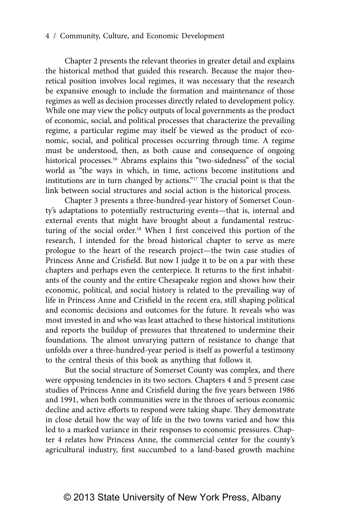## 4 / Community, Culture, and Economic Development

Chapter 2 presents the relevant theories in greater detail and explains the historical method that guided this research. Because the major theoretical position involves local regimes, it was necessary that the research be expansive enough to include the formation and maintenance of those regimes as well as decision processes directly related to development policy. While one may view the policy outputs of local governments as the product of economic, social, and political processes that characterize the prevailing regime, a particular regime may itself be viewed as the product of economic, social, and political processes occurring through time. A regime must be understood, then, as both cause and consequence of ongoing historical processes.<sup>16</sup> Abrams explains this "two-sidedness" of the social world as "the ways in which, in time, actions become institutions and institutions are in turn changed by actions."17 The crucial point is that the link between social structures and social action is the historical process.

Chapter 3 presents a three-hundred-year history of Somerset County's adaptations to potentially restructuring events—that is, internal and external events that might have brought about a fundamental restructuring of the social order.<sup>18</sup> When I first conceived this portion of the research, I intended for the broad historical chapter to serve as mere prologue to the heart of the research project—the twin case studies of Princess Anne and Crisfield. But now I judge it to be on a par with these chapters and perhaps even the centerpiece. It returns to the first inhabitants of the county and the entire Chesapeake region and shows how their economic, political, and social history is related to the prevailing way of life in Princess Anne and Crisfield in the recent era, still shaping political and economic decisions and outcomes for the future. It reveals who was most invested in and who was least attached to these historical institutions and reports the buildup of pressures that threatened to undermine their foundations. The almost unvarying pattern of resistance to change that unfolds over a three-hundred-year period is itself as powerful a testimony to the central thesis of this book as anything that follows it.

But the social structure of Somerset County was complex, and there were opposing tendencies in its two sectors. Chapters 4 and 5 present case studies of Princess Anne and Crisfield during the five years between 1986 and 1991, when both communities were in the throes of serious economic decline and active efforts to respond were taking shape. They demonstrate in close detail how the way of life in the two towns varied and how this led to a marked variance in their responses to economic pressures. Chapter 4 relates how Princess Anne, the commercial center for the county's agricultural industry, first succumbed to a land-based growth machine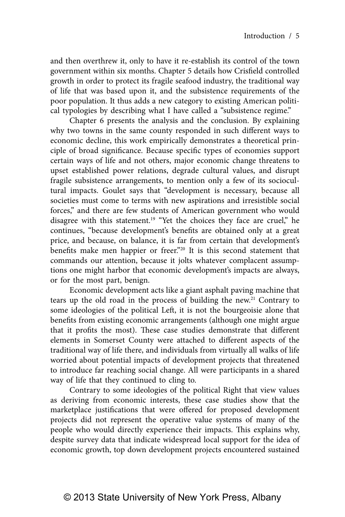and then overthrew it, only to have it re-establish its control of the town government within six months. Chapter 5 details how Crisfield controlled growth in order to protect its fragile seafood industry, the traditional way of life that was based upon it, and the subsistence requirements of the poor population. It thus adds a new category to existing American political typologies by describing what I have called a "subsistence regime."

Chapter 6 presents the analysis and the conclusion. By explaining why two towns in the same county responded in such different ways to economic decline, this work empirically demonstrates a theoretical principle of broad significance. Because specific types of economies support certain ways of life and not others, major economic change threatens to upset established power relations, degrade cultural values, and disrupt fragile subsistence arrangements, to mention only a few of its sociocultural impacts. Goulet says that "development is necessary, because all societies must come to terms with new aspirations and irresistible social forces," and there are few students of American government who would disagree with this statement.<sup>19</sup> "Yet the choices they face are cruel," he continues, "because development's benefits are obtained only at a great price, and because, on balance, it is far from certain that development's benefits make men happier or freer."20 It is this second statement that commands our attention, because it jolts whatever complacent assumptions one might harbor that economic development's impacts are always, or for the most part, benign.

Economic development acts like a giant asphalt paving machine that tears up the old road in the process of building the new.<sup>21</sup> Contrary to some ideologies of the political Left, it is not the bourgeoisie alone that benefits from existing economic arrangements (although one might argue that it profits the most). These case studies demonstrate that different elements in Somerset County were attached to different aspects of the traditional way of life there, and individuals from virtually all walks of life worried about potential impacts of development projects that threatened to introduce far reaching social change. All were participants in a shared way of life that they continued to cling to.

Contrary to some ideologies of the political Right that view values as deriving from economic interests, these case studies show that the marketplace justifications that were offered for proposed development projects did not represent the operative value systems of many of the people who would directly experience their impacts. This explains why, despite survey data that indicate widespread local support for the idea of economic growth, top down development projects encountered sustained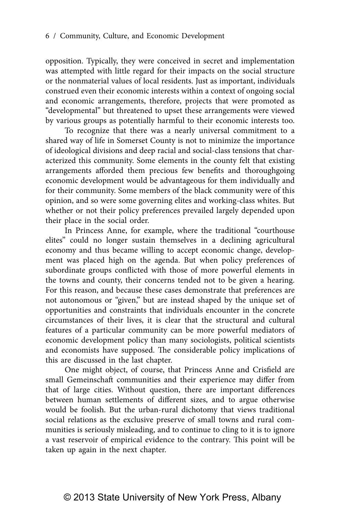opposition. Typically, they were conceived in secret and implementation was attempted with little regard for their impacts on the social structure or the nonmaterial values of local residents. Just as important, individuals construed even their economic interests within a context of ongoing social and economic arrangements, therefore, projects that were promoted as "developmental" but threatened to upset these arrangements were viewed by various groups as potentially harmful to their economic interests too.

To recognize that there was a nearly universal commitment to a shared way of life in Somerset County is not to minimize the importance of ideological divisions and deep racial and social-class tensions that characterized this community. Some elements in the county felt that existing arrangements afforded them precious few benefits and thoroughgoing economic development would be advantageous for them individually and for their community. Some members of the black community were of this opinion, and so were some governing elites and working-class whites. But whether or not their policy preferences prevailed largely depended upon their place in the social order.

In Princess Anne, for example, where the traditional "courthouse elites" could no longer sustain themselves in a declining agricultural economy and thus became willing to accept economic change, development was placed high on the agenda. But when policy preferences of subordinate groups conflicted with those of more powerful elements in the towns and county, their concerns tended not to be given a hearing. For this reason, and because these cases demonstrate that preferences are not autonomous or "given," but are instead shaped by the unique set of opportunities and constraints that individuals encounter in the concrete circumstances of their lives, it is clear that the structural and cultural features of a particular community can be more powerful mediators of economic development policy than many sociologists, political scientists and economists have supposed. The considerable policy implications of this are discussed in the last chapter.

One might object, of course, that Princess Anne and Crisfield are small Gemeinschaft communities and their experience may differ from that of large cities. Without question, there are important differences between human settlements of different sizes, and to argue otherwise would be foolish. But the urban-rural dichotomy that views traditional social relations as the exclusive preserve of small towns and rural communities is seriously misleading, and to continue to cling to it is to ignore a vast reservoir of empirical evidence to the contrary. This point will be taken up again in the next chapter.